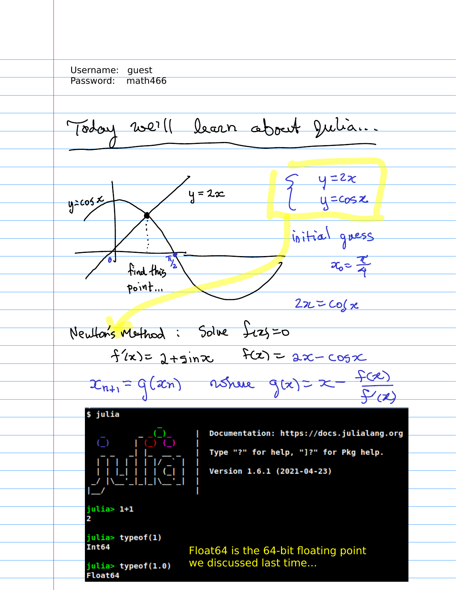Username: guest Password: math466 Today we'll bearn about Julian  $\xi$  y = 2x<br> $y = cos x$  $\overline{y} = 2x$  $y = 205 x$ initial gress  $x_0 = \frac{\pi}{4}$ find this  $point...$  $2z-z\cos x$ Neutons Method: Solve Jezy=0  $f(x) = 2 + sin x$   $f(x) = 2x - cos x$  $x_{n+1} = g(x_n)$  assure  $g(x) = x - \frac{f(x)}{f'(x)}$ \$ julia Documentation: https://docs.julialang.org  $\overline{C}$   $\overline{C}$ Type "?" for help, "]?" for Pkg help. Version 1.6.1 (2021-04-23) julia> 1+1 2 julia> typeof(1) Int64 Float64 is the 64-bit floating point we discussed last time...julia> typeof(1.0) **Float64**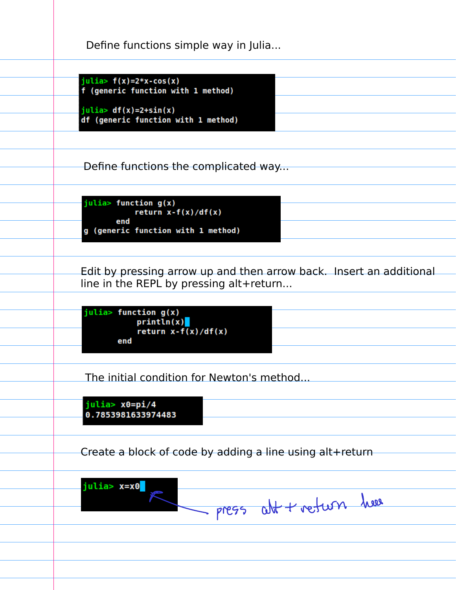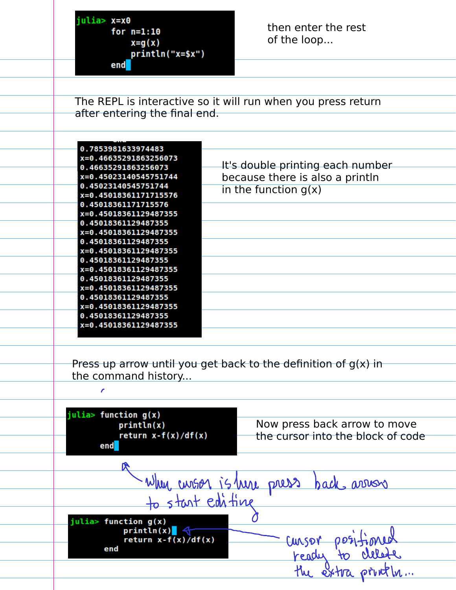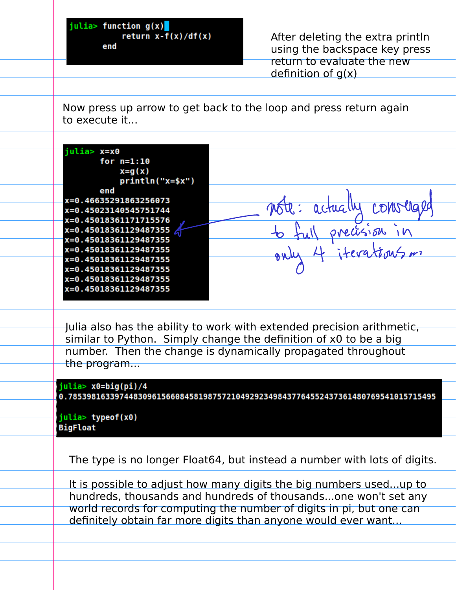$j$ ulia> function g(x) $\blacksquare$ return  $x-f(x)/df(x)$ end

After deleting the extra println using the backspace key press return to evaluate the new definition of  $q(x)$ 

Now press up arrow to get back to the loop and press return again to execute it...

| julia> x=x0           |          |
|-----------------------|----------|
| for $n=1:10$          |          |
| $x = g(x)$            |          |
| println("x=\$x")      |          |
| end                   |          |
| x=0.46635291863256073 | 7MG1     |
| x=0.45023140545751744 | actually |
| x=0.45018361171715576 |          |
| x=0.45018361129487355 |          |
| x=0.45018361129487355 |          |
| x=0.45018361129487355 |          |
| x=0.45018361129487355 |          |
| x=0.45018361129487355 |          |
| x=0.45018361129487355 |          |
| x=0.45018361129487355 |          |
|                       |          |

Julia also has the ability to work with extended precision arithmetic, similar to Python. Simply change the definition of x0 to be a big number. Then the change is dynamically propagated throughout the program...

julia> x0=big(pi)/4 0.7853981633974483096156608458198757210492923498437764552437361480769541015715495

julia> typeof(x0) **BigFloat** 

The type is no longer Float64, but instead a number with lots of digits.

It is possible to adjust how many digits the big numbers used...up to hundreds, thousands and hundreds of thousands...one won't set any world records for computing the number of digits in pi, but one can definitely obtain far more digits than anyone would ever want...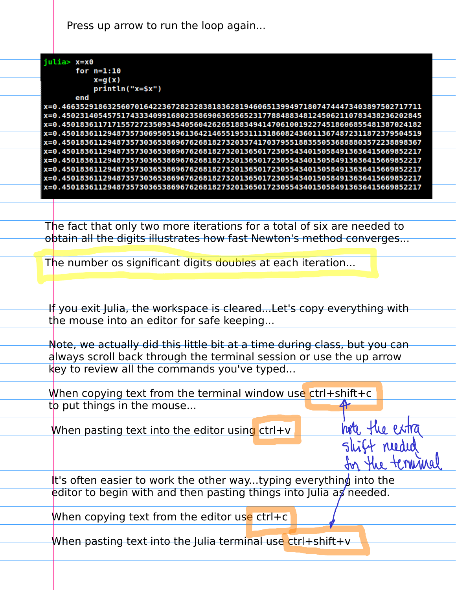Press up arrow to run the loop again...

| julia> x=x0                                                                       |
|-----------------------------------------------------------------------------------|
| for $n=1:10$                                                                      |
| $x = g(x)$                                                                        |
| println("x=\$x")                                                                  |
| end                                                                               |
| x=0.46635291863256070164223672823283818362819460651399497180747444734038975027    |
| ix=0.45023140545751743334099168023586906365565231778848834812450621107834382362   |
| 1387€3274518606855481387 1717155727235093434056042626518834941470610819227451860  |
| ix=0.45018361129487357306950519613642146551953111318608243601136748723118723795   |
| i x=0.450183611294873573036538696762681827320337417037955188355053688888035722388 |
| i x=0.45018361129487357303653869676268182732013650172305543401505849136364156698  |
| x=0.45018361129487357303653869676268182732013650172305543401505849136364156698    |
| ix=0.45018361129487357303653869676268182732013650172305543401505849136364156698   |
| ix=0.45018361129487357303653869676268182732013650172305543401505849136364156698   |
| ix=0.45018361129487357303653869676268182732013650172305543401505849136364156698   |
|                                                                                   |

hote the extra

shift needed

for the terminal

The fact that only two more iterations for a total of six are needed to obtain all the digits illustrates how fast Newton's method converges...

The number os significant digits doubles at each iteration...

If you exit Julia, the workspace is cleared...Let's copy everything with the mouse into an editor for safe keeping...

Note, we actually did this little bit at a time during class, but you can always scroll back through the terminal session or use the up arrow key to review all the commands you've typed...

When copying text from the terminal window use  $ctrl+shift+c$ to put things in the mouse...

When pasting text into the editor using  $ctr+v$ 

It's often easier to work the other way...typing everything into the editor to begin with and then pasting things into Julia as needed.

When copying text from the editor use  $ctr$ 

When pasting text into the Julia terminal use  $ctr$  + shift +  $v$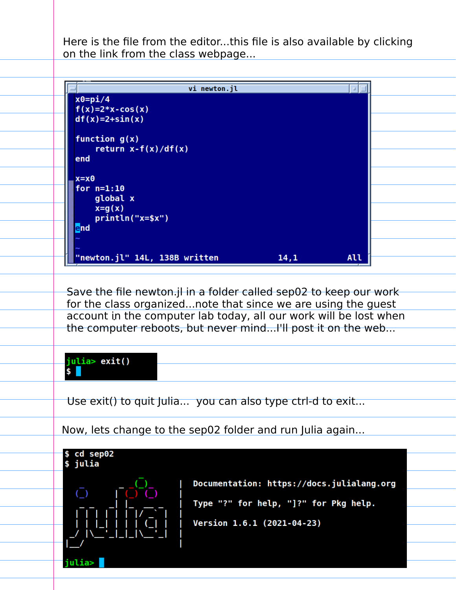Here is the file from the editor...this file is also available by clicking on the link from the class webpage...



Save the file newton.jl in a folder called sep02 to keep our work for the class organized...note that since we are using the guest account in the computer lab today, all our work will be lost when the computer reboots, but never mind...I'll post it on the web...

## julia> exit() \$

Use exit() to quit Julia... you can also type ctrl-d to exit...

Now, lets change to the sep02 folder and run Julia again...

\$ cd sep02 \$ julia



Documentation: https://docs.julialang.org Type "?" for help, "]?" for Pkg help. Version 1.6.1 (2021-04-23)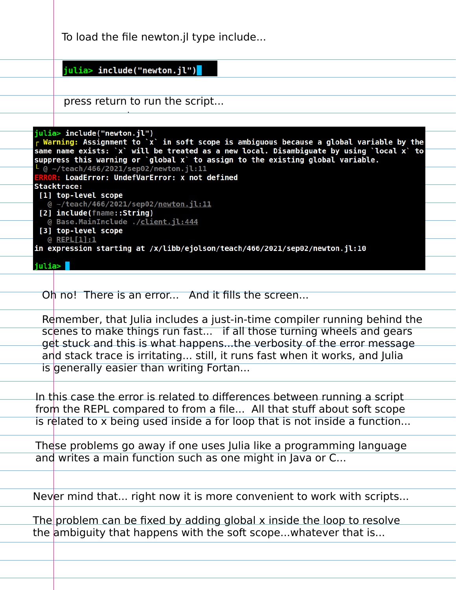|        | To load the file newton.jl type include                                                                                                                                                                                                                                                                                                                                                                                                  |
|--------|------------------------------------------------------------------------------------------------------------------------------------------------------------------------------------------------------------------------------------------------------------------------------------------------------------------------------------------------------------------------------------------------------------------------------------------|
|        | julia> include("newton.jl")                                                                                                                                                                                                                                                                                                                                                                                                              |
|        | press return to run the script                                                                                                                                                                                                                                                                                                                                                                                                           |
|        | julia> include("newton.jl")<br>r Warning: Assignment to `x` in soft scope is ambiguous because a global variable by the<br>same name exists: `x` will be treated as a new local. Disambiguate by using `local x` to<br>suppress this warning or `global x` to assign to the existing global variable.<br>- @ ~/teach/466/2021/sep02/newton.jl:11<br>ERROR: LoadError: UndefVarError: x not defined<br>Stacktrace:<br>[1] top-level scope |
|        | @ ~/teach/466/2021/sep02/newton.jl:11<br>[2] include(fname::String)<br>@ Base.MainInclude ./client.jl:444<br>[3] top-level scope<br>@ REPL[1]:1<br>in expression starting at /x/libb/ejolson/teach/466/2021/sep02/newton.jl:10                                                                                                                                                                                                           |
| julia> | Oh no! There is an error And it fills the screen                                                                                                                                                                                                                                                                                                                                                                                         |
|        | Remember, that Julia includes a just-in-time compiler running behind the                                                                                                                                                                                                                                                                                                                                                                 |
|        | scenes to make things run fast if all those turning wheels and gears<br>get stuck and this is what happensthe verbosity of the error message<br>and stack trace is irritating still, it runs fast when it works, and Julia                                                                                                                                                                                                               |
|        | is generally easier than writing Fortan                                                                                                                                                                                                                                                                                                                                                                                                  |
|        | In this case the error is related to differences between running a script<br>from the REPL compared to from a file All that stuff about soft scope<br>is related to x being used inside a for loop that is not inside a function                                                                                                                                                                                                         |
|        | These problems go away if one uses Julia like a programming language<br>and writes a main function such as one might in Java or C                                                                                                                                                                                                                                                                                                        |
|        | Never mind that right now it is more convenient to work with scripts                                                                                                                                                                                                                                                                                                                                                                     |
|        | The problem can be fixed by adding global x inside the loop to resolve<br>the ambiguity that happens with the soft scope whatever that is                                                                                                                                                                                                                                                                                                |
|        |                                                                                                                                                                                                                                                                                                                                                                                                                                          |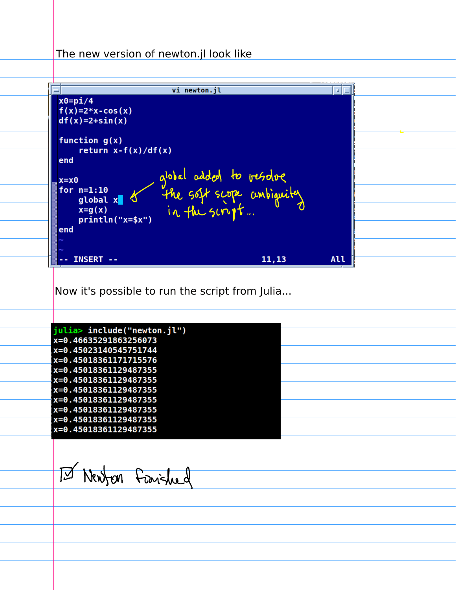## The new version of newton.jl look like

vi newton.jl  $\Box$  $x0 = pi/4$  $f(x)=2*x-cos(x)$  $df(x)=2+sin(x)$ function  $g(x)$ return  $x-f(x)/df(x)$ end o<br>
global x soft scope ambiguity<br>
x=g(x)<br>
println("x=\$x") in the script...  $x=x0$ for  $n=1:10$ end INSERT --All 11,13 Now it's possible to run the script from Julia...julia> include("newton.jl") x=0.46635291863256073 x=0.45023140545751744 x=0.45018361171715576 x=0.45018361129487355 x=0.45018361129487355 x=0.45018361129487355 x=0.45018361129487355 x=0.45018361129487355 x=0.45018361129487355 x=0.45018361129487355 囚 Newfon Fraished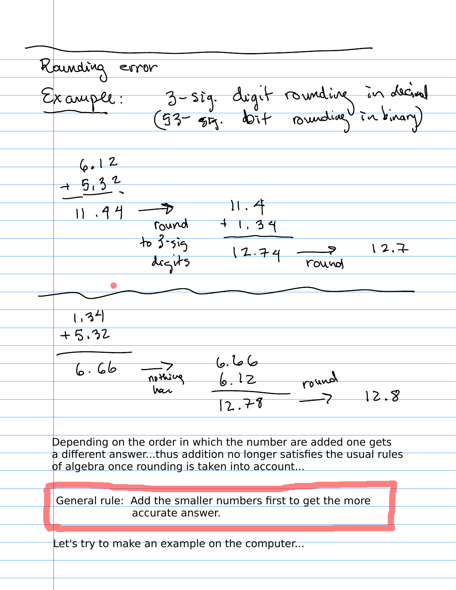Rounding error<br>Example: 3-sig. drgit rounding in derival  $6.12$  $\frac{+5.32}{-}$ 11.44 - 11.4<br>
Tourd + 1.34<br>
to 3.5ig<br>
degits 12.74 - 2 12.7  $(34)$  $+5.32$  $(a, b)$ nothing 6.66<br>nothing 6.12  $6.66$ round 12.8  $12.78$ 

Depending on the order in which the number are added one gets a different answer...thus addition no longer satisfies the usual rules of algebra once rounding is taken into account...

General rule: Add the smaller numbers first to get the more accurate answer.

Let's try to make an example on the computer...